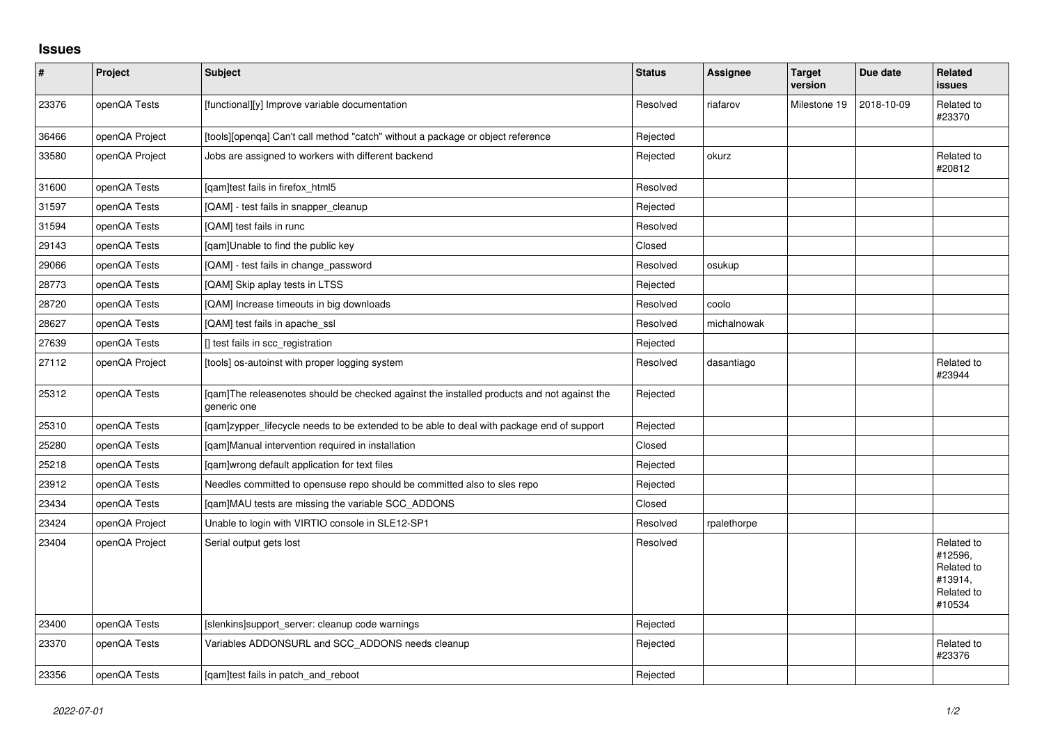## **Issues**

| $\vert$ # | Project        | Subject                                                                                                   | <b>Status</b> | Assignee    | <b>Target</b><br>version | Due date   | Related<br><b>issues</b>                                               |
|-----------|----------------|-----------------------------------------------------------------------------------------------------------|---------------|-------------|--------------------------|------------|------------------------------------------------------------------------|
| 23376     | openQA Tests   | [functional][y] Improve variable documentation                                                            | Resolved      | riafarov    | Milestone 19             | 2018-10-09 | Related to<br>#23370                                                   |
| 36466     | openQA Project | [tools][openqa] Can't call method "catch" without a package or object reference                           | Rejected      |             |                          |            |                                                                        |
| 33580     | openQA Project | Jobs are assigned to workers with different backend                                                       | Rejected      | okurz       |                          |            | Related to<br>#20812                                                   |
| 31600     | openQA Tests   | [qam]test fails in firefox_html5                                                                          | Resolved      |             |                          |            |                                                                        |
| 31597     | openQA Tests   | [QAM] - test fails in snapper_cleanup                                                                     | Rejected      |             |                          |            |                                                                        |
| 31594     | openQA Tests   | [QAM] test fails in runc                                                                                  | Resolved      |             |                          |            |                                                                        |
| 29143     | openQA Tests   | [qam]Unable to find the public key                                                                        | Closed        |             |                          |            |                                                                        |
| 29066     | openQA Tests   | [QAM] - test fails in change password                                                                     | Resolved      | osukup      |                          |            |                                                                        |
| 28773     | openQA Tests   | [QAM] Skip aplay tests in LTSS                                                                            | Rejected      |             |                          |            |                                                                        |
| 28720     | openQA Tests   | [QAM] Increase timeouts in big downloads                                                                  | Resolved      | coolo       |                          |            |                                                                        |
| 28627     | openQA Tests   | [QAM] test fails in apache_ssl                                                                            | Resolved      | michalnowak |                          |            |                                                                        |
| 27639     | openQA Tests   | [] test fails in scc_registration                                                                         | Rejected      |             |                          |            |                                                                        |
| 27112     | openQA Project | [tools] os-autoinst with proper logging system                                                            | Resolved      | dasantiago  |                          |            | Related to<br>#23944                                                   |
| 25312     | openQA Tests   | [qam]The releasenotes should be checked against the installed products and not against the<br>generic one | Rejected      |             |                          |            |                                                                        |
| 25310     | openQA Tests   | [qam]zypper_lifecycle needs to be extended to be able to deal with package end of support                 | Rejected      |             |                          |            |                                                                        |
| 25280     | openQA Tests   | [qam]Manual intervention required in installation                                                         | Closed        |             |                          |            |                                                                        |
| 25218     | openQA Tests   | [qam]wrong default application for text files                                                             | Rejected      |             |                          |            |                                                                        |
| 23912     | openQA Tests   | Needles committed to opensuse repo should be committed also to sles repo                                  | Rejected      |             |                          |            |                                                                        |
| 23434     | openQA Tests   | [qam]MAU tests are missing the variable SCC_ADDONS                                                        | Closed        |             |                          |            |                                                                        |
| 23424     | openQA Project | Unable to login with VIRTIO console in SLE12-SP1                                                          | Resolved      | rpalethorpe |                          |            |                                                                        |
| 23404     | openQA Project | Serial output gets lost                                                                                   | Resolved      |             |                          |            | Related to<br>#12596.<br>Related to<br>#13914,<br>Related to<br>#10534 |
| 23400     | openQA Tests   | [slenkins]support_server: cleanup code warnings                                                           | Rejected      |             |                          |            |                                                                        |
| 23370     | openQA Tests   | Variables ADDONSURL and SCC_ADDONS needs cleanup                                                          | Rejected      |             |                          |            | Related to<br>#23376                                                   |
| 23356     | openQA Tests   | [gam]test fails in patch and reboot                                                                       | Rejected      |             |                          |            |                                                                        |